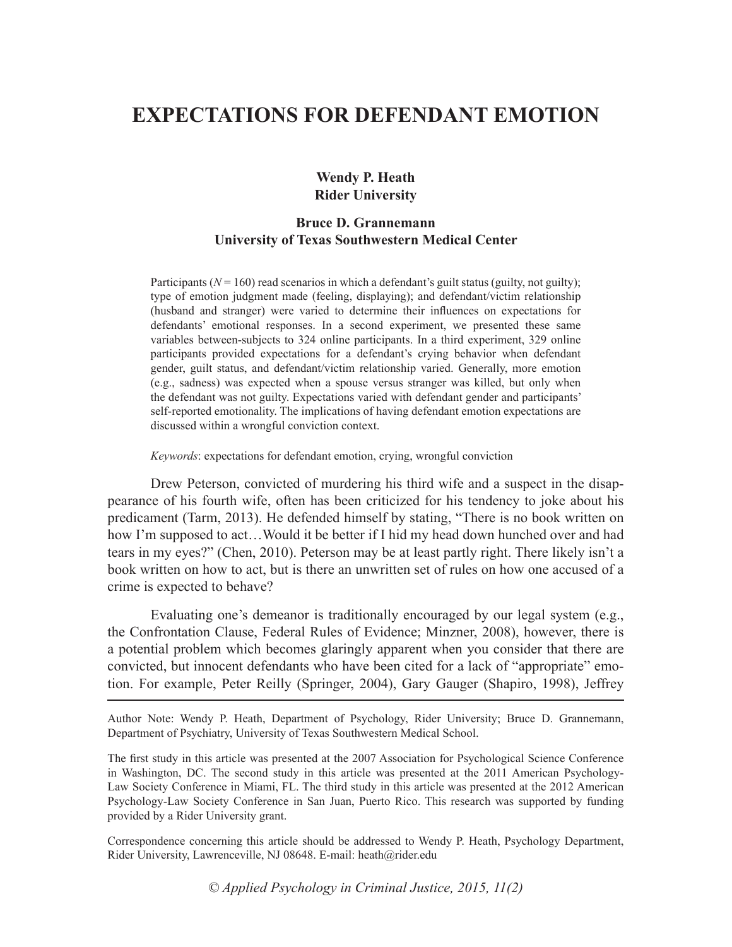# **EXPECTATIONS FOR DEFENDANT EMOTION**

# **Wendy P. Heath Rider University**

# **Bruce D. Grannemann University of Texas Southwestern Medical Center**

Participants ( $N = 160$ ) read scenarios in which a defendant's guilt status (guilty, not guilty); type of emotion judgment made (feeling, displaying); and defendant/victim relationship (husband and stranger) were varied to determine their influences on expectations for defendants' emotional responses. In a second experiment, we presented these same variables between-subjects to 324 online participants. In a third experiment, 329 online participants provided expectations for a defendant's crying behavior when defendant gender, guilt status, and defendant/victim relationship varied. Generally, more emotion (e.g., sadness) was expected when a spouse versus stranger was killed, but only when the defendant was not guilty. Expectations varied with defendant gender and participants' self-reported emotionality. The implications of having defendant emotion expectations are discussed within a wrongful conviction context.

*Keywords*: expectations for defendant emotion, crying, wrongful conviction

Drew Peterson, convicted of murdering his third wife and a suspect in the disappearance of his fourth wife, often has been criticized for his tendency to joke about his predicament (Tarm, 2013). He defended himself by stating, "There is no book written on how I'm supposed to act…Would it be better if I hid my head down hunched over and had tears in my eyes?" (Chen, 2010). Peterson may be at least partly right. There likely isn't a book written on how to act, but is there an unwritten set of rules on how one accused of a crime is expected to behave?

Evaluating one's demeanor is traditionally encouraged by our legal system (e.g., the Confrontation Clause, Federal Rules of Evidence; Minzner, 2008), however, there is a potential problem which becomes glaringly apparent when you consider that there are convicted, but innocent defendants who have been cited for a lack of "appropriate" emotion. For example, Peter Reilly (Springer, 2004), Gary Gauger (Shapiro, 1998), Jeffrey

Author Note: Wendy P. Heath, Department of Psychology, Rider University; Bruce D. Grannemann, Department of Psychiatry, University of Texas Southwestern Medical School.

The first study in this article was presented at the 2007 Association for Psychological Science Conference in Washington, DC. The second study in this article was presented at the 2011 American Psychology-Law Society Conference in Miami, FL. The third study in this article was presented at the 2012 American Psychology-Law Society Conference in San Juan, Puerto Rico. This research was supported by funding provided by a Rider University grant.

Correspondence concerning this article should be addressed to Wendy P. Heath, Psychology Department, Rider University, Lawrenceville, NJ 08648. E-mail: heath@rider.edu

*© Applied Psychology in Criminal Justice, 2015, 11(2)*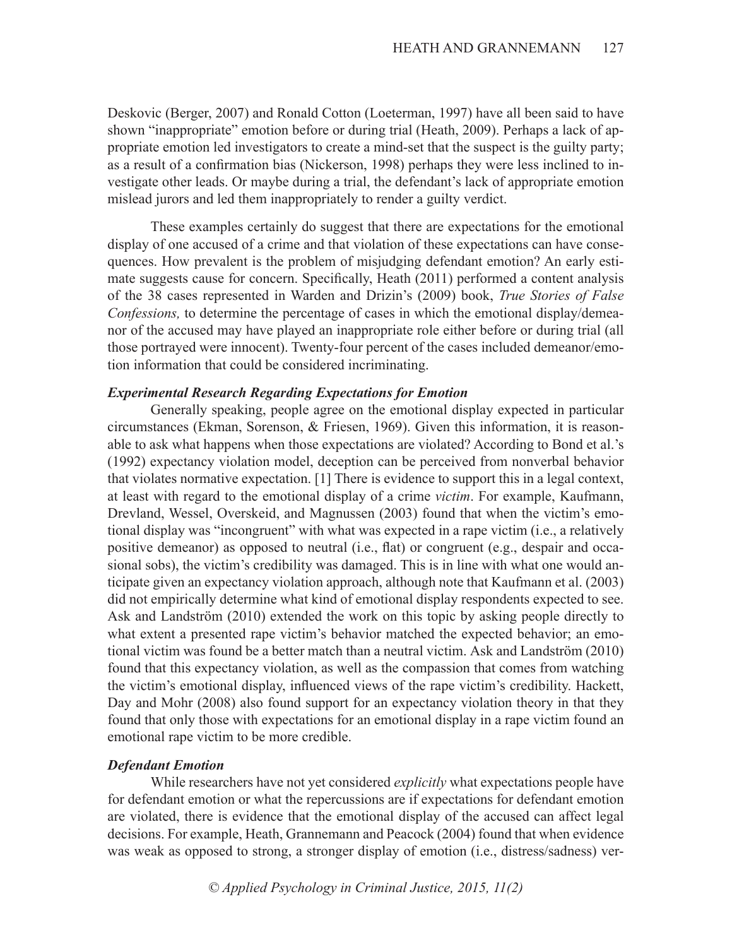Deskovic (Berger, 2007) and Ronald Cotton (Loeterman, 1997) have all been said to have shown "inappropriate" emotion before or during trial (Heath, 2009). Perhaps a lack of appropriate emotion led investigators to create a mind-set that the suspect is the guilty party; as a result of a confirmation bias (Nickerson, 1998) perhaps they were less inclined to investigate other leads. Or maybe during a trial, the defendant's lack of appropriate emotion mislead jurors and led them inappropriately to render a guilty verdict.

These examples certainly do suggest that there are expectations for the emotional display of one accused of a crime and that violation of these expectations can have consequences. How prevalent is the problem of misjudging defendant emotion? An early estimate suggests cause for concern. Specifically, Heath (2011) performed a content analysis of the 38 cases represented in Warden and Drizin's (2009) book, *True Stories of False Confessions,* to determine the percentage of cases in which the emotional display/demeanor of the accused may have played an inappropriate role either before or during trial (all those portrayed were innocent). Twenty-four percent of the cases included demeanor/emotion information that could be considered incriminating.

### *Experimental Research Regarding Expectations for Emotion*

Generally speaking, people agree on the emotional display expected in particular circumstances (Ekman, Sorenson, & Friesen, 1969). Given this information, it is reasonable to ask what happens when those expectations are violated? According to Bond et al.'s (1992) expectancy violation model, deception can be perceived from nonverbal behavior that violates normative expectation. [1] There is evidence to support this in a legal context, at least with regard to the emotional display of a crime *victim*. For example, Kaufmann, Drevland, Wessel, Overskeid, and Magnussen (2003) found that when the victim's emotional display was "incongruent" with what was expected in a rape victim (i.e., a relatively positive demeanor) as opposed to neutral (i.e., flat) or congruent (e.g., despair and occasional sobs), the victim's credibility was damaged. This is in line with what one would anticipate given an expectancy violation approach, although note that Kaufmann et al. (2003) did not empirically determine what kind of emotional display respondents expected to see. Ask and Landström (2010) extended the work on this topic by asking people directly to what extent a presented rape victim's behavior matched the expected behavior; an emotional victim was found be a better match than a neutral victim. Ask and Landström (2010) found that this expectancy violation, as well as the compassion that comes from watching the victim's emotional display, influenced views of the rape victim's credibility. Hackett, Day and Mohr (2008) also found support for an expectancy violation theory in that they found that only those with expectations for an emotional display in a rape victim found an emotional rape victim to be more credible.

# *Defendant Emotion*

While researchers have not yet considered *explicitly* what expectations people have for defendant emotion or what the repercussions are if expectations for defendant emotion are violated, there is evidence that the emotional display of the accused can affect legal decisions. For example, Heath, Grannemann and Peacock (2004) found that when evidence was weak as opposed to strong, a stronger display of emotion (i.e., distress/sadness) ver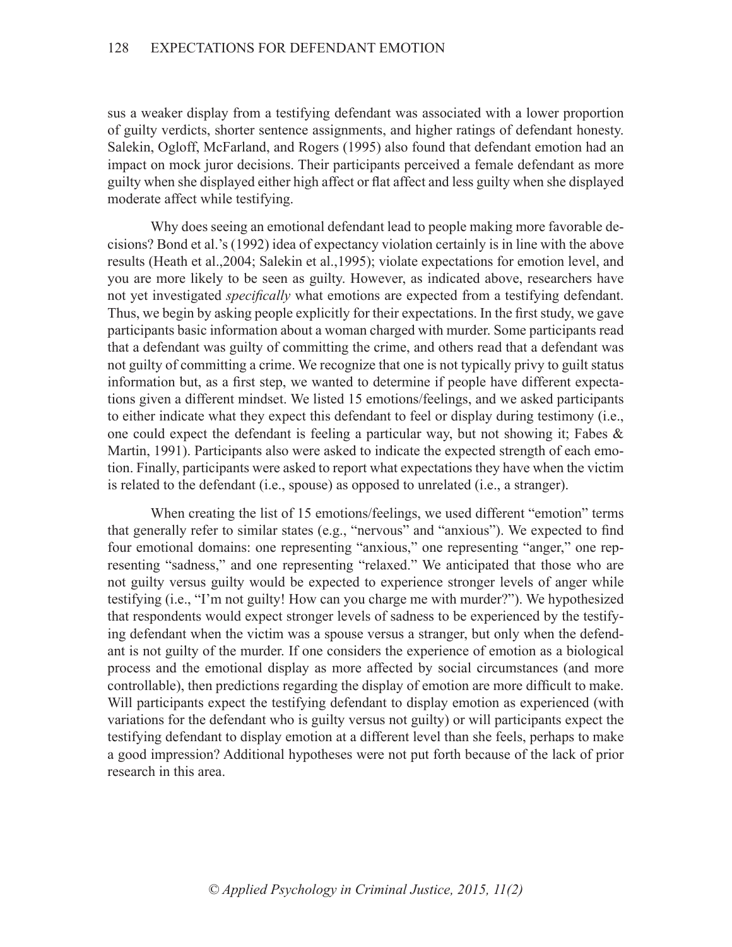sus a weaker display from a testifying defendant was associated with a lower proportion of guilty verdicts, shorter sentence assignments, and higher ratings of defendant honesty. Salekin, Ogloff, McFarland, and Rogers (1995) also found that defendant emotion had an impact on mock juror decisions. Their participants perceived a female defendant as more guilty when she displayed either high affect or flat affect and less guilty when she displayed moderate affect while testifying.

Why does seeing an emotional defendant lead to people making more favorable decisions? Bond et al.'s (1992) idea of expectancy violation certainly is in line with the above results (Heath et al.,2004; Salekin et al.,1995); violate expectations for emotion level, and you are more likely to be seen as guilty. However, as indicated above, researchers have not yet investigated *specifically* what emotions are expected from a testifying defendant. Thus, we begin by asking people explicitly for their expectations. In the first study, we gave participants basic information about a woman charged with murder. Some participants read that a defendant was guilty of committing the crime, and others read that a defendant was not guilty of committing a crime. We recognize that one is not typically privy to guilt status information but, as a first step, we wanted to determine if people have different expectations given a different mindset. We listed 15 emotions/feelings, and we asked participants to either indicate what they expect this defendant to feel or display during testimony (i.e., one could expect the defendant is feeling a particular way, but not showing it; Fabes  $\&$ Martin, 1991). Participants also were asked to indicate the expected strength of each emotion. Finally, participants were asked to report what expectations they have when the victim is related to the defendant (i.e., spouse) as opposed to unrelated (i.e., a stranger).

When creating the list of 15 emotions/feelings, we used different "emotion" terms that generally refer to similar states (e.g., "nervous" and "anxious"). We expected to find four emotional domains: one representing "anxious," one representing "anger," one representing "sadness," and one representing "relaxed." We anticipated that those who are not guilty versus guilty would be expected to experience stronger levels of anger while testifying (i.e., "I'm not guilty! How can you charge me with murder?"). We hypothesized that respondents would expect stronger levels of sadness to be experienced by the testifying defendant when the victim was a spouse versus a stranger, but only when the defendant is not guilty of the murder. If one considers the experience of emotion as a biological process and the emotional display as more affected by social circumstances (and more controllable), then predictions regarding the display of emotion are more difficult to make. Will participants expect the testifying defendant to display emotion as experienced (with variations for the defendant who is guilty versus not guilty) or will participants expect the testifying defendant to display emotion at a different level than she feels, perhaps to make a good impression? Additional hypotheses were not put forth because of the lack of prior research in this area.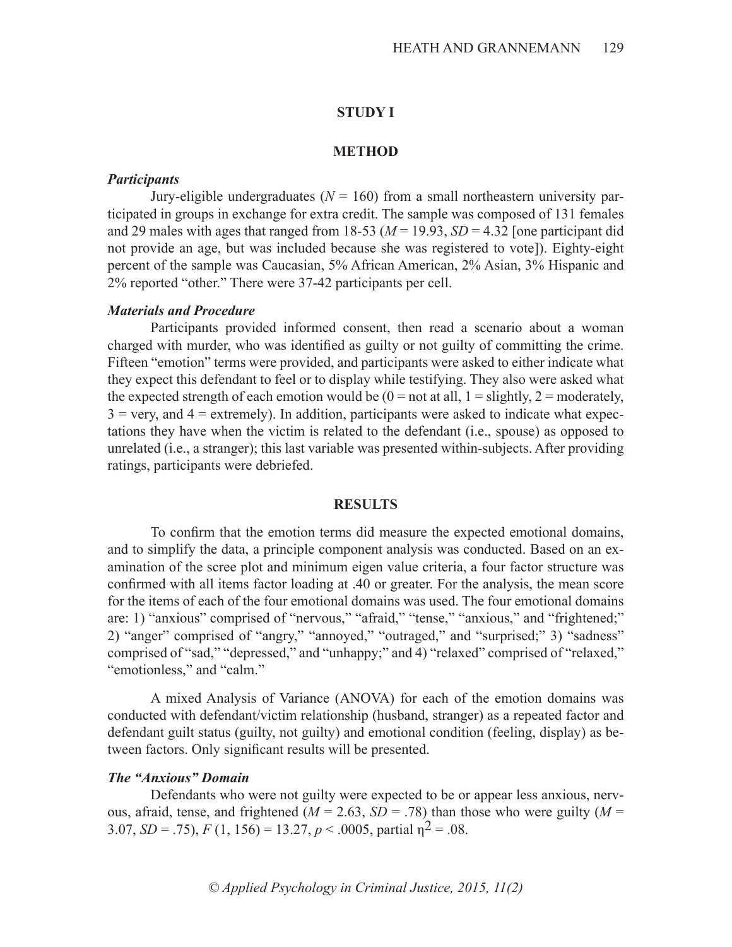#### **STUDY I**

#### **METHOD**

### *Participants*

Jury-eligible undergraduates ( $N = 160$ ) from a small northeastern university participated in groups in exchange for extra credit. The sample was composed of 131 females and 29 males with ages that ranged from 18-53 ( $M = 19.93$ ,  $SD = 4.32$  [one participant did not provide an age, but was included because she was registered to vote]). Eighty-eight percent of the sample was Caucasian, 5% African American, 2% Asian, 3% Hispanic and 2% reported "other." There were 37-42 participants per cell.

# *Materials and Procedure*

Participants provided informed consent, then read a scenario about a woman charged with murder, who was identified as guilty or not guilty of committing the crime. Fifteen "emotion" terms were provided, and participants were asked to either indicate what they expect this defendant to feel or to display while testifying. They also were asked what the expected strength of each emotion would be  $(0 = not at all, 1 = slightly, 2 = moderately,$  $3 = \text{very, and } 4 = \text{extremely}$ . In addition, participants were asked to indicate what expectations they have when the victim is related to the defendant (i.e., spouse) as opposed to unrelated (i.e., a stranger); this last variable was presented within-subjects. After providing ratings, participants were debriefed.

#### **RESULTS**

To confirm that the emotion terms did measure the expected emotional domains, and to simplify the data, a principle component analysis was conducted. Based on an examination of the scree plot and minimum eigen value criteria, a four factor structure was confirmed with all items factor loading at .40 or greater. For the analysis, the mean score for the items of each of the four emotional domains was used. The four emotional domains are: 1) "anxious" comprised of "nervous," "afraid," "tense," "anxious," and "frightened;" 2) "anger" comprised of "angry," "annoyed," "outraged," and "surprised;" 3) "sadness" comprised of "sad," "depressed," and "unhappy;" and 4) "relaxed" comprised of "relaxed," "emotionless," and "calm."

A mixed Analysis of Variance (ANOVA) for each of the emotion domains was conducted with defendant/victim relationship (husband, stranger) as a repeated factor and defendant guilt status (guilty, not guilty) and emotional condition (feeling, display) as between factors. Only significant results will be presented.

# *The "Anxious" Domain*

Defendants who were not guilty were expected to be or appear less anxious, nervous, afraid, tense, and frightened ( $M = 2.63$ ,  $SD = .78$ ) than those who were guilty ( $M =$ 3.07,  $SD = .75$ ),  $F(1, 156) = 13.27$ ,  $p < .0005$ , partial  $p^2 = .08$ .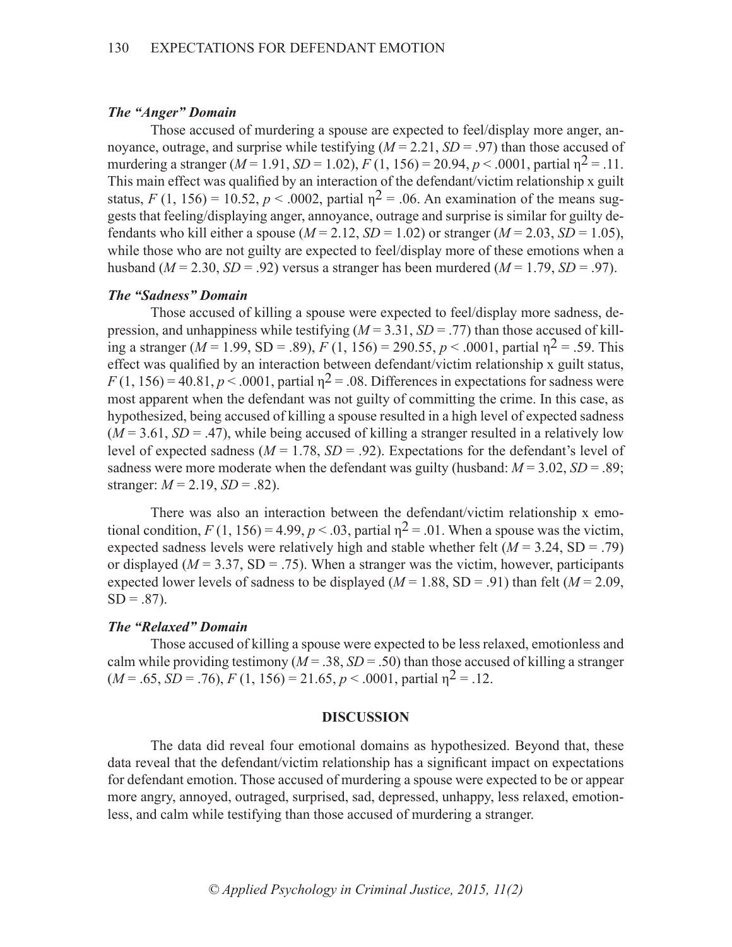# *The "Anger" Domain*

Those accused of murdering a spouse are expected to feel/display more anger, annoyance, outrage, and surprise while testifying  $(M = 2.21, SD = .97)$  than those accused of murdering a stranger  $(M = 1.91, SD = 1.02)$ ,  $F(1, 156) = 20.94, p < .0001$ , partial  $p^2 = .11$ . This main effect was qualified by an interaction of the defendant/victim relationship x guilt status, *F* (1, 156) = 10.52, *p* < .0002, partial  $n^2$  = .06. An examination of the means suggests that feeling/displaying anger, annoyance, outrage and surprise is similar for guilty defendants who kill either a spouse  $(M = 2.12, SD = 1.02)$  or stranger  $(M = 2.03, SD = 1.05)$ , while those who are not guilty are expected to feel/display more of these emotions when a husband ( $M = 2.30$ ,  $SD = .92$ ) versus a stranger has been murdered ( $M = 1.79$ ,  $SD = .97$ ).

# *The "Sadness" Domain*

Those accused of killing a spouse were expected to feel/display more sadness, depression, and unhappiness while testifying  $(M = 3.31, SD = .77)$  than those accused of killing a stranger ( $M = 1.99$ ,  $SD = .89$ ),  $F(1, 156) = 290.55$ ,  $p < .0001$ , partial  $p^2 = .59$ . This effect was qualified by an interaction between defendant/victim relationship x guilt status,  $F(1, 156) = 40.81$ ,  $p < .0001$ , partial  $p^2 = .08$ . Differences in expectations for sadness were most apparent when the defendant was not guilty of committing the crime. In this case, as hypothesized, being accused of killing a spouse resulted in a high level of expected sadness  $(M = 3.61, SD = .47)$ , while being accused of killing a stranger resulted in a relatively low level of expected sadness ( $M = 1.78$ ,  $SD = .92$ ). Expectations for the defendant's level of sadness were more moderate when the defendant was guilty (husband:  $M = 3.02$ ,  $SD = .89$ ; stranger:  $M = 2.19$ ,  $SD = .82$ ).

There was also an interaction between the defendant/victim relationship x emotional condition,  $F(1, 156) = 4.99$ ,  $p < .03$ , partial  $p^2 = .01$ . When a spouse was the victim, expected sadness levels were relatively high and stable whether felt  $(M = 3.24, SD = .79)$ or displayed ( $M = 3.37$ , SD = .75). When a stranger was the victim, however, participants expected lower levels of sadness to be displayed ( $M = 1.88$ , SD = .91) than felt ( $M = 2.09$ ,  $SD = .87$ ).

# *The "Relaxed" Domain*

Those accused of killing a spouse were expected to be less relaxed, emotionless and calm while providing testimony ( $M = 0.38$ ,  $SD = 0.50$ ) than those accused of killing a stranger  $(M = .65, SD = .76), F(1, 156) = 21.65, p < .0001$ , partial  $p^2 = .12$ .

#### **DISCUSSION**

The data did reveal four emotional domains as hypothesized. Beyond that, these data reveal that the defendant/victim relationship has a significant impact on expectations for defendant emotion. Those accused of murdering a spouse were expected to be or appear more angry, annoyed, outraged, surprised, sad, depressed, unhappy, less relaxed, emotionless, and calm while testifying than those accused of murdering a stranger.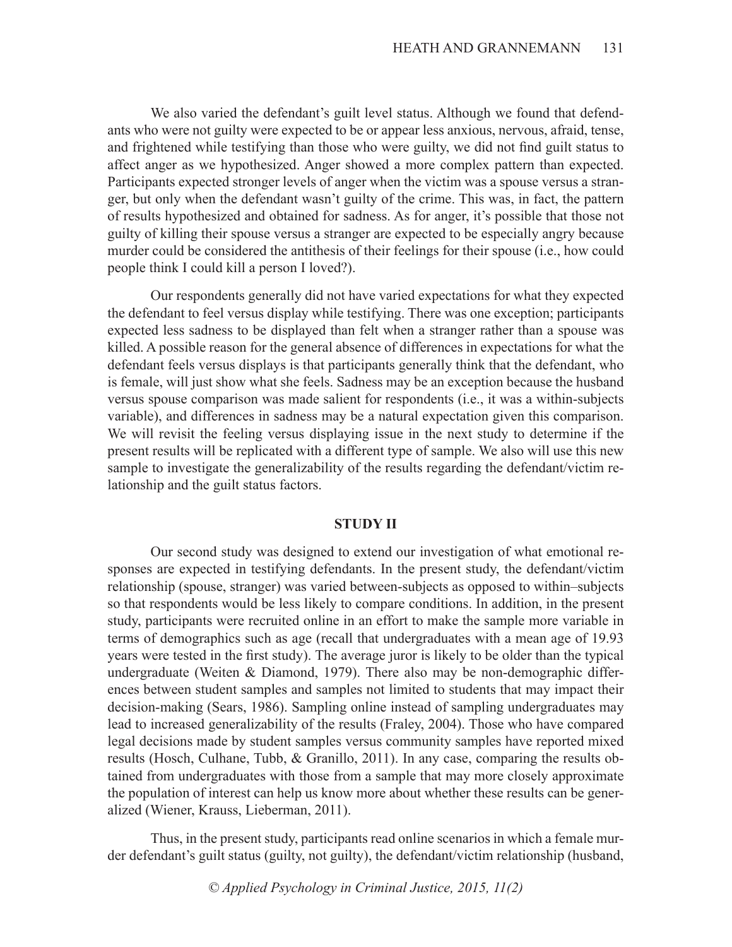We also varied the defendant's guilt level status. Although we found that defendants who were not guilty were expected to be or appear less anxious, nervous, afraid, tense, and frightened while testifying than those who were guilty, we did not find guilt status to affect anger as we hypothesized. Anger showed a more complex pattern than expected. Participants expected stronger levels of anger when the victim was a spouse versus a stranger, but only when the defendant wasn't guilty of the crime. This was, in fact, the pattern of results hypothesized and obtained for sadness. As for anger, it's possible that those not guilty of killing their spouse versus a stranger are expected to be especially angry because murder could be considered the antithesis of their feelings for their spouse (i.e., how could people think I could kill a person I loved?).

Our respondents generally did not have varied expectations for what they expected the defendant to feel versus display while testifying. There was one exception; participants expected less sadness to be displayed than felt when a stranger rather than a spouse was killed. A possible reason for the general absence of differences in expectations for what the defendant feels versus displays is that participants generally think that the defendant, who is female, will just show what she feels. Sadness may be an exception because the husband versus spouse comparison was made salient for respondents (i.e., it was a within-subjects variable), and differences in sadness may be a natural expectation given this comparison. We will revisit the feeling versus displaying issue in the next study to determine if the present results will be replicated with a different type of sample. We also will use this new sample to investigate the generalizability of the results regarding the defendant/victim relationship and the guilt status factors.

#### **STUDY II**

Our second study was designed to extend our investigation of what emotional responses are expected in testifying defendants. In the present study, the defendant/victim relationship (spouse, stranger) was varied between-subjects as opposed to within–subjects so that respondents would be less likely to compare conditions. In addition, in the present study, participants were recruited online in an effort to make the sample more variable in terms of demographics such as age (recall that undergraduates with a mean age of 19.93 years were tested in the first study). The average juror is likely to be older than the typical undergraduate (Weiten & Diamond, 1979). There also may be non-demographic differences between student samples and samples not limited to students that may impact their decision-making (Sears, 1986). Sampling online instead of sampling undergraduates may lead to increased generalizability of the results (Fraley, 2004). Those who have compared legal decisions made by student samples versus community samples have reported mixed results (Hosch, Culhane, Tubb, & Granillo, 2011). In any case, comparing the results obtained from undergraduates with those from a sample that may more closely approximate the population of interest can help us know more about whether these results can be generalized (Wiener, Krauss, Lieberman, 2011).

Thus, in the present study, participants read online scenarios in which a female murder defendant's guilt status (guilty, not guilty), the defendant/victim relationship (husband,

*© Applied Psychology in Criminal Justice, 2015, 11(2)*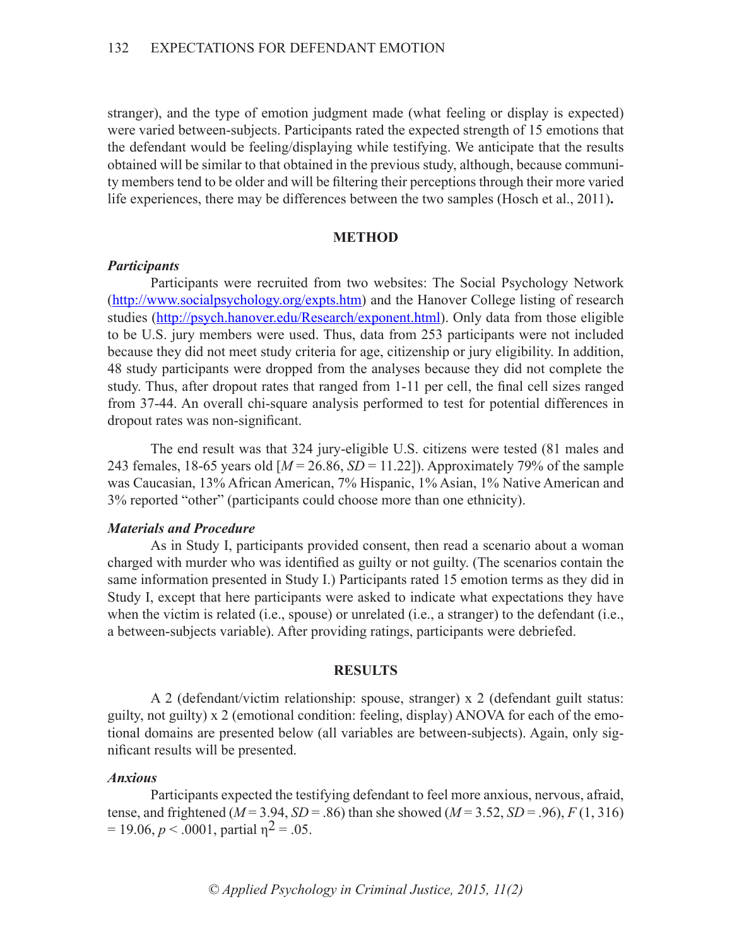stranger), and the type of emotion judgment made (what feeling or display is expected) were varied between-subjects. Participants rated the expected strength of 15 emotions that the defendant would be feeling/displaying while testifying. We anticipate that the results obtained will be similar to that obtained in the previous study, although, because community members tend to be older and will be filtering their perceptions through their more varied life experiences, there may be differences between the two samples (Hosch et al., 2011)**.**

#### **METHOD**

#### *Participants*

Participants were recruited from two websites: The Social Psychology Network (http://www.socialpsychology.org/expts.htm) and the Hanover College listing of research studies (http://psych.hanover.edu/Research/exponent.html). Only data from those eligible to be U.S. jury members were used. Thus, data from 253 participants were not included because they did not meet study criteria for age, citizenship or jury eligibility. In addition, 48 study participants were dropped from the analyses because they did not complete the study. Thus, after dropout rates that ranged from 1-11 per cell, the final cell sizes ranged from 37-44. An overall chi-square analysis performed to test for potential differences in dropout rates was non-significant.

The end result was that 324 jury-eligible U.S. citizens were tested (81 males and 243 females, 18-65 years old [*M* = 26.86, *SD* = 11.22]). Approximately 79% of the sample was Caucasian, 13% African American, 7% Hispanic, 1% Asian, 1% Native American and 3% reported "other" (participants could choose more than one ethnicity).

# *Materials and Procedure*

As in Study I, participants provided consent, then read a scenario about a woman charged with murder who was identified as guilty or not guilty. (The scenarios contain the same information presented in Study I.) Participants rated 15 emotion terms as they did in Study I, except that here participants were asked to indicate what expectations they have when the victim is related (i.e., spouse) or unrelated (i.e., a stranger) to the defendant (i.e., a between-subjects variable). After providing ratings, participants were debriefed.

#### **RESULTS**

A 2 (defendant/victim relationship: spouse, stranger) x 2 (defendant guilt status: guilty, not guilty) x 2 (emotional condition: feeling, display) ANOVA for each of the emotional domains are presented below (all variables are between-subjects). Again, only significant results will be presented.

#### *Anxious*

Participants expected the testifying defendant to feel more anxious, nervous, afraid, tense, and frightened ( $M = 3.94$ ,  $SD = .86$ ) than she showed ( $M = 3.52$ ,  $SD = .96$ ),  $F(1, 316)$  $= 19.06$ ,  $p < .0001$ , partial  $n^2 = .05$ .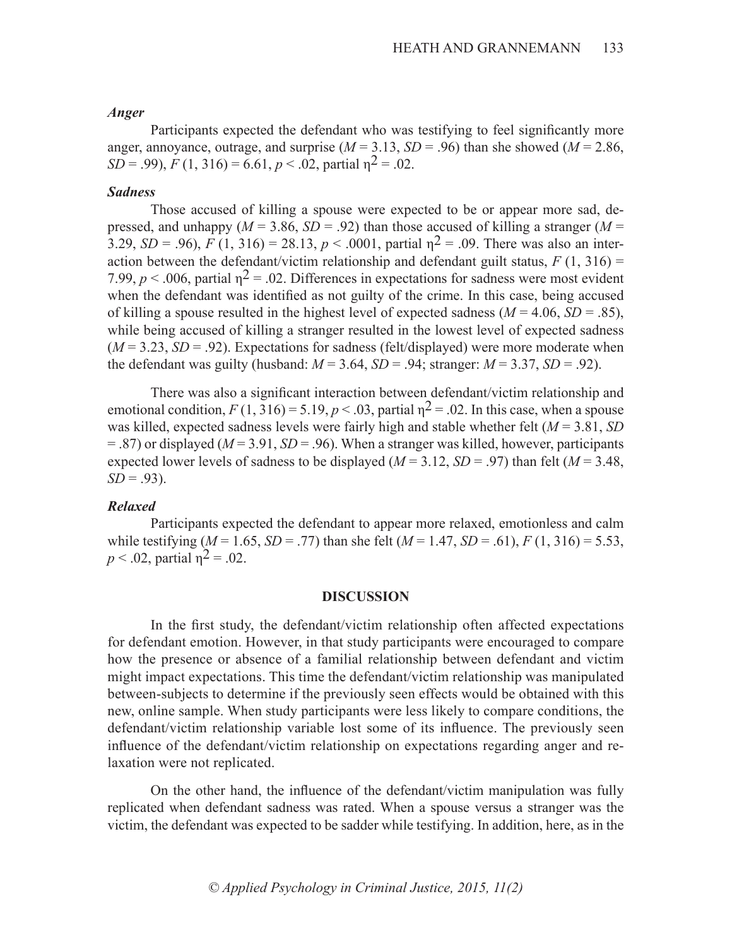#### *Anger*

Participants expected the defendant who was testifying to feel significantly more anger, annoyance, outrage, and surprise  $(M = 3.13, SD = .96)$  than she showed  $(M = 2.86,$ *SD* = .99), *F* (1, 316) = 6.61, *p* < .02, partial  $n^2$  = .02.

# *Sadness*

Those accused of killing a spouse were expected to be or appear more sad, depressed, and unhappy ( $M = 3.86$ ,  $SD = .92$ ) than those accused of killing a stranger ( $M =$ 3.29, *SD* = .96), *F* (1, 316) = 28.13, *p* < .0001, partial  $n^2$  = .09. There was also an interaction between the defendant/victim relationship and defendant guilt status,  $F(1, 316) =$ 7.99,  $p < .006$ , partial  $\eta^2 = .02$ . Differences in expectations for sadness were most evident when the defendant was identified as not guilty of the crime. In this case, being accused of killing a spouse resulted in the highest level of expected sadness  $(M = 4.06, SD = .85)$ , while being accused of killing a stranger resulted in the lowest level of expected sadness  $(M = 3.23, SD = .92)$ . Expectations for sadness (felt/displayed) were more moderate when the defendant was guilty (husband:  $M = 3.64$ ,  $SD = .94$ ; stranger:  $M = 3.37$ ,  $SD = .92$ ).

There was also a significant interaction between defendant/victim relationship and emotional condition,  $F(1, 316) = 5.19$ ,  $p < .03$ , partial  $p^2 = .02$ . In this case, when a spouse was killed, expected sadness levels were fairly high and stable whether felt (*M* = 3.81, *SD* = .87) or displayed (*M* = 3.91, *SD* = .96). When a stranger was killed, however, participants expected lower levels of sadness to be displayed ( $M = 3.12$ ,  $SD = .97$ ) than felt ( $M = 3.48$ ,  $SD = .93$ ).

# *Relaxed*

Participants expected the defendant to appear more relaxed, emotionless and calm while testifying  $(M = 1.65, SD = .77)$  than she felt  $(M = 1.47, SD = .61)$ ,  $F(1, 316) = 5.53$ , *p* < .02, partial  $n^2 = .02$ .

#### **DISCUSSION**

In the first study, the defendant/victim relationship often affected expectations for defendant emotion. However, in that study participants were encouraged to compare how the presence or absence of a familial relationship between defendant and victim might impact expectations. This time the defendant/victim relationship was manipulated between-subjects to determine if the previously seen effects would be obtained with this new, online sample. When study participants were less likely to compare conditions, the defendant/victim relationship variable lost some of its influence. The previously seen influence of the defendant/victim relationship on expectations regarding anger and relaxation were not replicated.

On the other hand, the influence of the defendant/victim manipulation was fully replicated when defendant sadness was rated. When a spouse versus a stranger was the victim, the defendant was expected to be sadder while testifying. In addition, here, as in the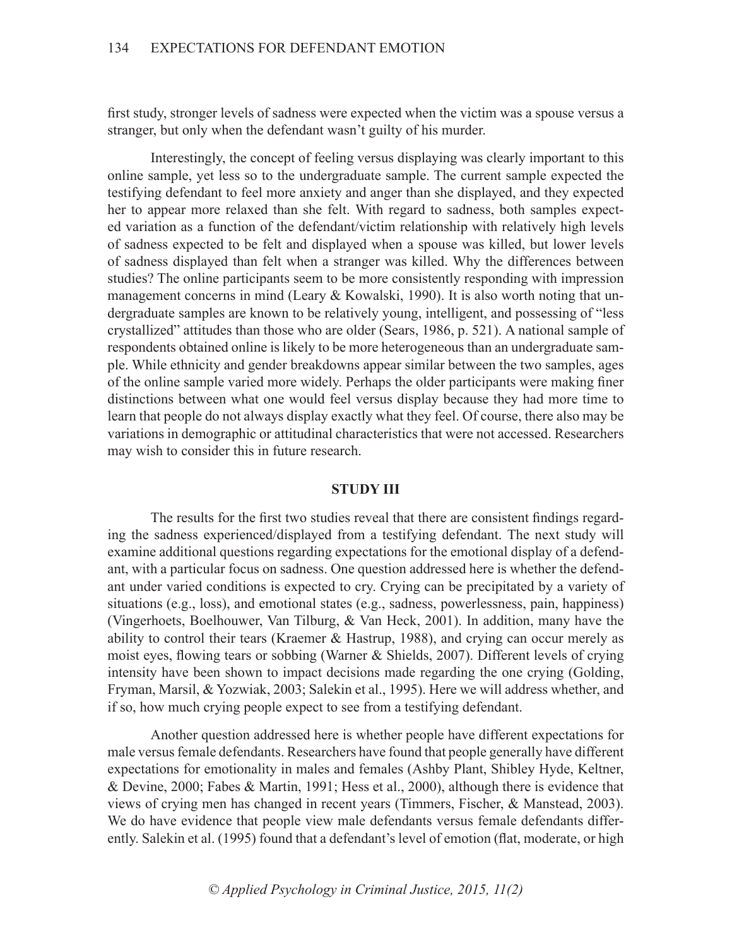first study, stronger levels of sadness were expected when the victim was a spouse versus a stranger, but only when the defendant wasn't guilty of his murder.

Interestingly, the concept of feeling versus displaying was clearly important to this online sample, yet less so to the undergraduate sample. The current sample expected the testifying defendant to feel more anxiety and anger than she displayed, and they expected her to appear more relaxed than she felt. With regard to sadness, both samples expected variation as a function of the defendant/victim relationship with relatively high levels of sadness expected to be felt and displayed when a spouse was killed, but lower levels of sadness displayed than felt when a stranger was killed. Why the differences between studies? The online participants seem to be more consistently responding with impression management concerns in mind (Leary & Kowalski, 1990). It is also worth noting that undergraduate samples are known to be relatively young, intelligent, and possessing of "less crystallized" attitudes than those who are older (Sears, 1986, p. 521). A national sample of respondents obtained online is likely to be more heterogeneous than an undergraduate sample. While ethnicity and gender breakdowns appear similar between the two samples, ages of the online sample varied more widely. Perhaps the older participants were making finer distinctions between what one would feel versus display because they had more time to learn that people do not always display exactly what they feel. Of course, there also may be variations in demographic or attitudinal characteristics that were not accessed. Researchers may wish to consider this in future research.

### **STUDY III**

The results for the first two studies reveal that there are consistent findings regarding the sadness experienced/displayed from a testifying defendant. The next study will examine additional questions regarding expectations for the emotional display of a defendant, with a particular focus on sadness. One question addressed here is whether the defendant under varied conditions is expected to cry. Crying can be precipitated by a variety of situations (e.g., loss), and emotional states (e.g., sadness, powerlessness, pain, happiness) (Vingerhoets, Boelhouwer, Van Tilburg, & Van Heck, 2001). In addition, many have the ability to control their tears (Kraemer & Hastrup, 1988), and crying can occur merely as moist eyes, flowing tears or sobbing (Warner & Shields, 2007). Different levels of crying intensity have been shown to impact decisions made regarding the one crying (Golding, Fryman, Marsil, & Yozwiak, 2003; Salekin et al., 1995). Here we will address whether, and if so, how much crying people expect to see from a testifying defendant.

Another question addressed here is whether people have different expectations for male versus female defendants. Researchers have found that people generally have different expectations for emotionality in males and females (Ashby Plant, Shibley Hyde, Keltner, & Devine, 2000; Fabes & Martin, 1991; Hess et al., 2000), although there is evidence that views of crying men has changed in recent years (Timmers, Fischer, & Manstead, 2003). We do have evidence that people view male defendants versus female defendants differently. Salekin et al. (1995) found that a defendant's level of emotion (flat, moderate, or high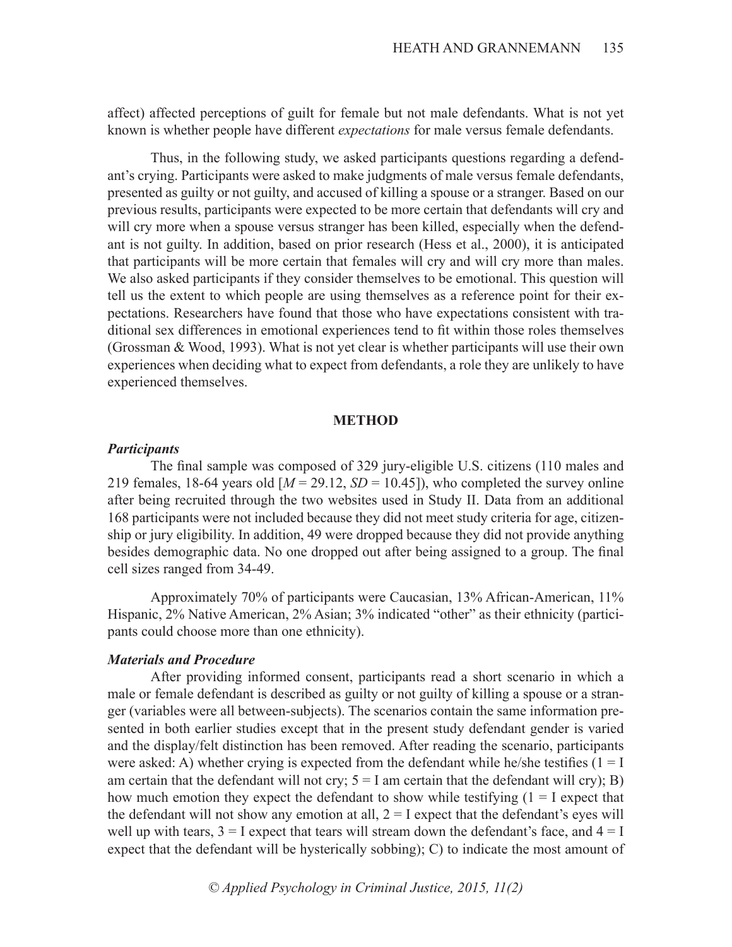affect) affected perceptions of guilt for female but not male defendants. What is not yet known is whether people have different *expectations* for male versus female defendants.

Thus, in the following study, we asked participants questions regarding a defendant's crying. Participants were asked to make judgments of male versus female defendants, presented as guilty or not guilty, and accused of killing a spouse or a stranger. Based on our previous results, participants were expected to be more certain that defendants will cry and will cry more when a spouse versus stranger has been killed, especially when the defendant is not guilty. In addition, based on prior research (Hess et al., 2000), it is anticipated that participants will be more certain that females will cry and will cry more than males. We also asked participants if they consider themselves to be emotional. This question will tell us the extent to which people are using themselves as a reference point for their expectations. Researchers have found that those who have expectations consistent with traditional sex differences in emotional experiences tend to fit within those roles themselves (Grossman & Wood, 1993). What is not yet clear is whether participants will use their own experiences when deciding what to expect from defendants, a role they are unlikely to have experienced themselves.

### **METHOD**

#### *Participants*

The final sample was composed of 329 jury-eligible U.S. citizens (110 males and 219 females, 18-64 years old  $[M = 29.12, SD = 10.45]$ , who completed the survey online after being recruited through the two websites used in Study II. Data from an additional 168 participants were not included because they did not meet study criteria for age, citizenship or jury eligibility. In addition, 49 were dropped because they did not provide anything besides demographic data. No one dropped out after being assigned to a group. The final cell sizes ranged from 34-49.

Approximately 70% of participants were Caucasian, 13% African-American, 11% Hispanic, 2% Native American, 2% Asian; 3% indicated "other" as their ethnicity (participants could choose more than one ethnicity).

### *Materials and Procedure*

After providing informed consent, participants read a short scenario in which a male or female defendant is described as guilty or not guilty of killing a spouse or a stranger (variables were all between-subjects). The scenarios contain the same information presented in both earlier studies except that in the present study defendant gender is varied and the display/felt distinction has been removed. After reading the scenario, participants were asked: A) whether crying is expected from the defendant while he/she testifies  $(1 = I$ am certain that the defendant will not cry;  $5 = I$  am certain that the defendant will cry); B) how much emotion they expect the defendant to show while testifying  $(1 = I)$  expect that the defendant will not show any emotion at all,  $2 = I$  expect that the defendant's eyes will well up with tears,  $3 = I$  expect that tears will stream down the defendant's face, and  $4 = I$ expect that the defendant will be hysterically sobbing); C) to indicate the most amount of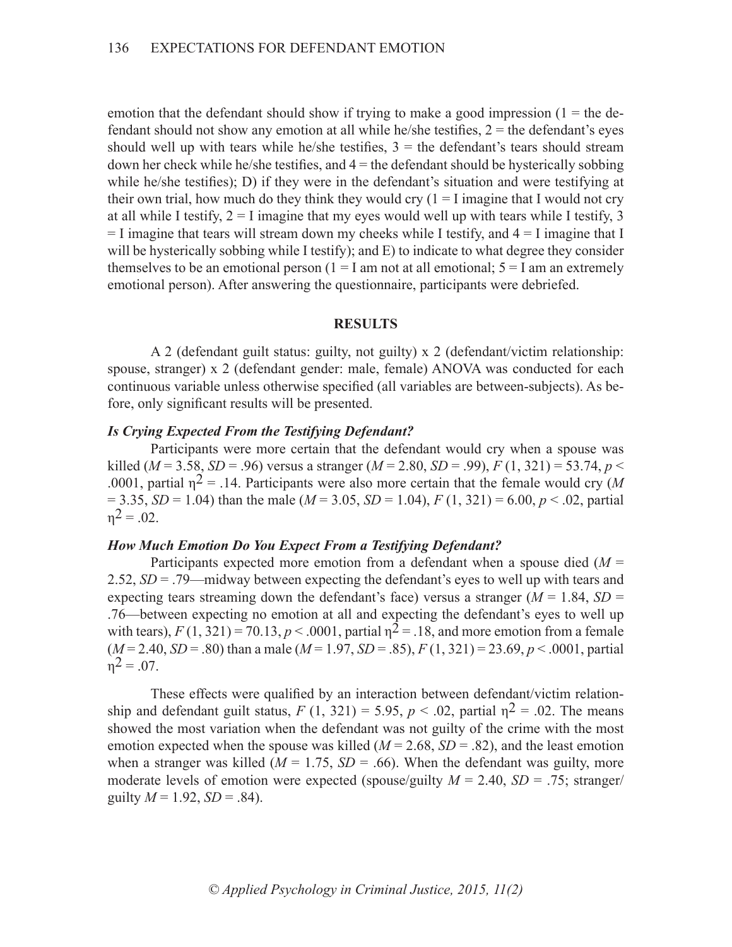emotion that the defendant should show if trying to make a good impression  $(1 =$  the defendant should not show any emotion at all while he/she testifies,  $2 =$  the defendant's eyes should well up with tears while he/she testifies,  $3 =$  the defendant's tears should stream down her check while he/she testifies, and  $4 =$  the defendant should be hysterically sobbing while he/she testifies); D) if they were in the defendant's situation and were testifying at their own trial, how much do they think they would cry  $(1 = I \text{ imagine that } I \text{ would not cry})$ at all while I testify,  $2 = I$  imagine that my eyes would well up with tears while I testify, 3  $=$  I imagine that tears will stream down my cheeks while I testify, and  $4 =$  I imagine that I will be hysterically sobbing while I testify); and E) to indicate to what degree they consider themselves to be an emotional person  $(1 = I \text{ am not at all emotional}; 5 = I \text{ am an extremely})$ emotional person). After answering the questionnaire, participants were debriefed.

# **RESULTS**

A 2 (defendant guilt status: guilty, not guilty) x 2 (defendant/victim relationship: spouse, stranger) x 2 (defendant gender: male, female) ANOVA was conducted for each continuous variable unless otherwise specified (all variables are between-subjects). As before, only significant results will be presented.

### *Is Crying Expected From the Testifying Defendant?*

Participants were more certain that the defendant would cry when a spouse was killed ( $M = 3.58$ ,  $SD = .96$ ) versus a stranger ( $M = 2.80$ ,  $SD = .99$ ),  $F(1, 321) = 53.74$ ,  $p <$ .0001, partial  $n^2 = 0.14$ . Participants were also more certain that the female would cry (*M*)  $= 3.35, SD = 1.04$ ) than the male ( $M = 3.05, SD = 1.04$ ),  $F(1, 321) = 6.00, p < .02$ , partial  $n^2 = 0.02$ .

### *How Much Emotion Do You Expect From a Testifying Defendant?*

Participants expected more emotion from a defendant when a spouse died (*M* = 2.52, *SD* = .79—midway between expecting the defendant's eyes to well up with tears and expecting tears streaming down the defendant's face) versus a stranger ( $M = 1.84$ ,  $SD =$ .76—between expecting no emotion at all and expecting the defendant's eyes to well up with tears),  $F(1, 321) = 70.13$ ,  $p < .0001$ , partial  $p^2 = .18$ , and more emotion from a female  $(M=2.40, SD=.80)$  than a male  $(M=1.97, SD=.85)$ ,  $F(1, 321) = 23.69$ ,  $p < .0001$ , partial  $n^2 = 0.07$ .

These effects were qualified by an interaction between defendant/victim relationship and defendant guilt status,  $F(1, 321) = 5.95$ ,  $p < .02$ , partial  $n^2 = .02$ . The means showed the most variation when the defendant was not guilty of the crime with the most emotion expected when the spouse was killed  $(M = 2.68, SD = .82)$ , and the least emotion when a stranger was killed ( $M = 1.75$ ,  $SD = .66$ ). When the defendant was guilty, more moderate levels of emotion were expected (spouse/guilty  $M = 2.40$ ,  $SD = .75$ ; stranger/ guilty  $M = 1.92$ ,  $SD = .84$ ).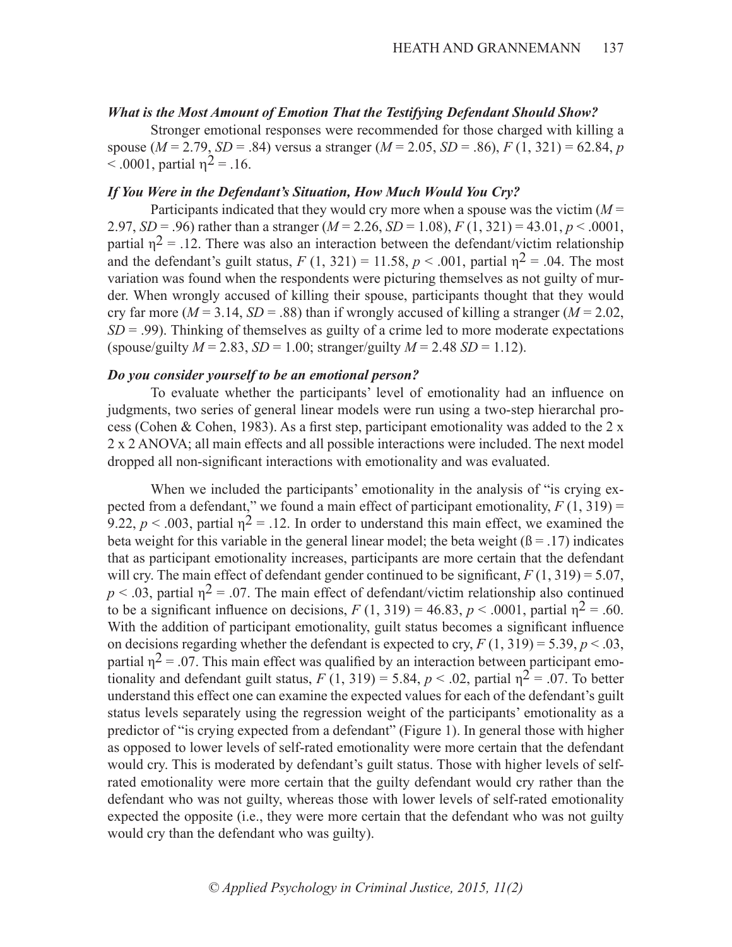# *What is the Most Amount of Emotion That the Testifying Defendant Should Show?*

Stronger emotional responses were recommended for those charged with killing a spouse (*M* = 2.79, *SD* = .84) versus a stranger (*M* = 2.05, *SD* = .86), *F* (1, 321) = 62.84, *p*   $< .0001$ , partial  $\eta^2 = .16$ .

# *If You Were in the Defendant's Situation, How Much Would You Cry?*

Participants indicated that they would cry more when a spouse was the victim (*M* = 2.97, *SD* = .96) rather than a stranger ( $M = 2.26$ , *SD* = 1.08),  $F(1, 321) = 43.01$ ,  $p < .0001$ , partial  $n^2$  = .12. There was also an interaction between the defendant/victim relationship and the defendant's guilt status,  $F(1, 321) = 11.58$ ,  $p < .001$ , partial  $p^2 = .04$ . The most variation was found when the respondents were picturing themselves as not guilty of murder. When wrongly accused of killing their spouse, participants thought that they would cry far more ( $M = 3.14$ ,  $SD = .88$ ) than if wrongly accused of killing a stranger ( $M = 2.02$ , *SD* = .99). Thinking of themselves as guilty of a crime led to more moderate expectations  $(s\text{pouse/guilty } M = 2.83, SD = 1.00; \text{stranger/guilty } M = 2.48, SD = 1.12).$ 

# *Do you consider yourself to be an emotional person?*

To evaluate whether the participants' level of emotionality had an influence on judgments, two series of general linear models were run using a two-step hierarchal process (Cohen & Cohen, 1983). As a first step, participant emotionality was added to the 2 x 2 x 2 ANOVA; all main effects and all possible interactions were included. The next model dropped all non-significant interactions with emotionality and was evaluated.

When we included the participants' emotionality in the analysis of "is crying expected from a defendant," we found a main effect of participant emotionality,  $F(1, 319) =$ 9.22,  $p < .003$ , partial  $\eta^2 = .12$ . In order to understand this main effect, we examined the beta weight for this variable in the general linear model; the beta weight  $(\beta = .17)$  indicates that as participant emotionality increases, participants are more certain that the defendant will cry. The main effect of defendant gender continued to be significant,  $F(1, 319) = 5.07$ ,  $p < 0.03$ , partial  $p^2 = 0.07$ . The main effect of defendant/victim relationship also continued to be a significant influence on decisions,  $F(1, 319) = 46.83$ ,  $p < .0001$ , partial  $p^2 = .60$ . With the addition of participant emotionality, guilt status becomes a significant influence on decisions regarding whether the defendant is expected to cry,  $F(1, 319) = 5.39$ ,  $p < .03$ , partial  $n^2$  = .07. This main effect was qualified by an interaction between participant emotionality and defendant guilt status,  $F(1, 319) = 5.84$ ,  $p < .02$ , partial  $p^2 = .07$ . To better understand this effect one can examine the expected values for each of the defendant's guilt status levels separately using the regression weight of the participants' emotionality as a predictor of "is crying expected from a defendant" (Figure 1). In general those with higher as opposed to lower levels of self-rated emotionality were more certain that the defendant would cry. This is moderated by defendant's guilt status. Those with higher levels of selfrated emotionality were more certain that the guilty defendant would cry rather than the defendant who was not guilty, whereas those with lower levels of self-rated emotionality expected the opposite (i.e., they were more certain that the defendant who was not guilty would cry than the defendant who was guilty).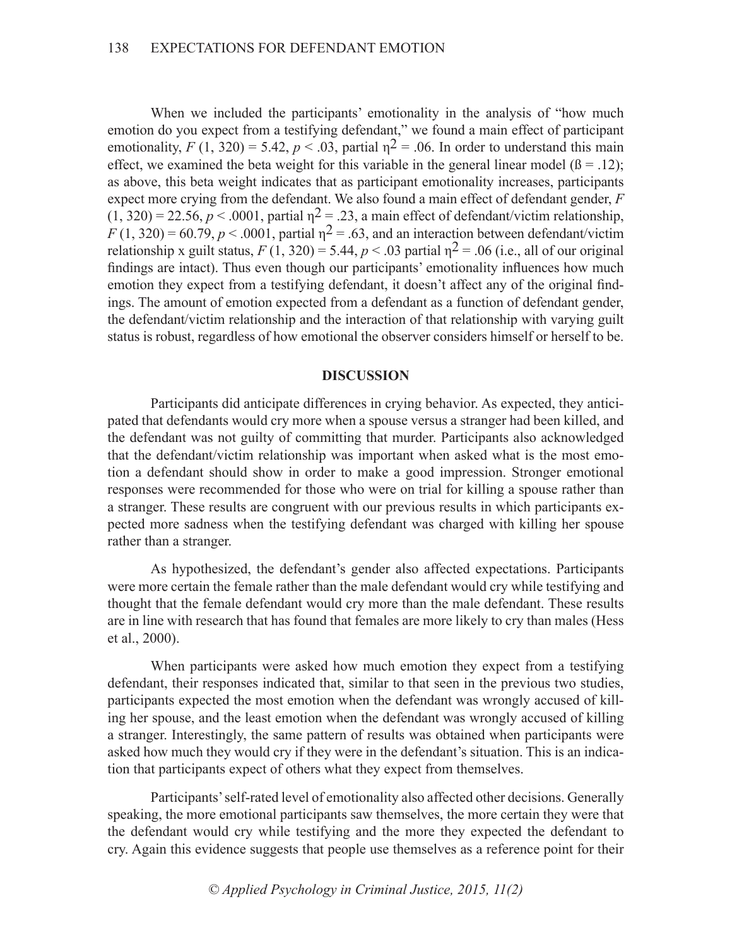When we included the participants' emotionality in the analysis of "how much emotion do you expect from a testifying defendant," we found a main effect of participant emotionality,  $F(1, 320) = 5.42$ ,  $p < .03$ , partial  $n^2 = .06$ . In order to understand this main effect, we examined the beta weight for this variable in the general linear model  $(\beta = .12)$ ; as above, this beta weight indicates that as participant emotionality increases, participants expect more crying from the defendant. We also found a main effect of defendant gender, *F*  $(1, 320) = 22.56$ ,  $p < .0001$ , partial  $p^2 = .23$ , a main effect of defendant/victim relationship,  $F(1, 320) = 60.79$ ,  $p < .0001$ , partial  $n^2 = .63$ , and an interaction between defendant/victim relationship x guilt status,  $F(1, 320) = 5.44$ ,  $p < .03$  partial  $p^2 = .06$  (i.e., all of our original findings are intact). Thus even though our participants' emotionality influences how much emotion they expect from a testifying defendant, it doesn't affect any of the original findings. The amount of emotion expected from a defendant as a function of defendant gender, the defendant/victim relationship and the interaction of that relationship with varying guilt status is robust, regardless of how emotional the observer considers himself or herself to be.

# **DISCUSSION**

Participants did anticipate differences in crying behavior. As expected, they anticipated that defendants would cry more when a spouse versus a stranger had been killed, and the defendant was not guilty of committing that murder. Participants also acknowledged that the defendant/victim relationship was important when asked what is the most emotion a defendant should show in order to make a good impression. Stronger emotional responses were recommended for those who were on trial for killing a spouse rather than a stranger. These results are congruent with our previous results in which participants expected more sadness when the testifying defendant was charged with killing her spouse rather than a stranger.

As hypothesized, the defendant's gender also affected expectations. Participants were more certain the female rather than the male defendant would cry while testifying and thought that the female defendant would cry more than the male defendant. These results are in line with research that has found that females are more likely to cry than males (Hess et al., 2000).

When participants were asked how much emotion they expect from a testifying defendant, their responses indicated that, similar to that seen in the previous two studies, participants expected the most emotion when the defendant was wrongly accused of killing her spouse, and the least emotion when the defendant was wrongly accused of killing a stranger. Interestingly, the same pattern of results was obtained when participants were asked how much they would cry if they were in the defendant's situation. This is an indication that participants expect of others what they expect from themselves.

Participants' self-rated level of emotionality also affected other decisions. Generally speaking, the more emotional participants saw themselves, the more certain they were that the defendant would cry while testifying and the more they expected the defendant to cry. Again this evidence suggests that people use themselves as a reference point for their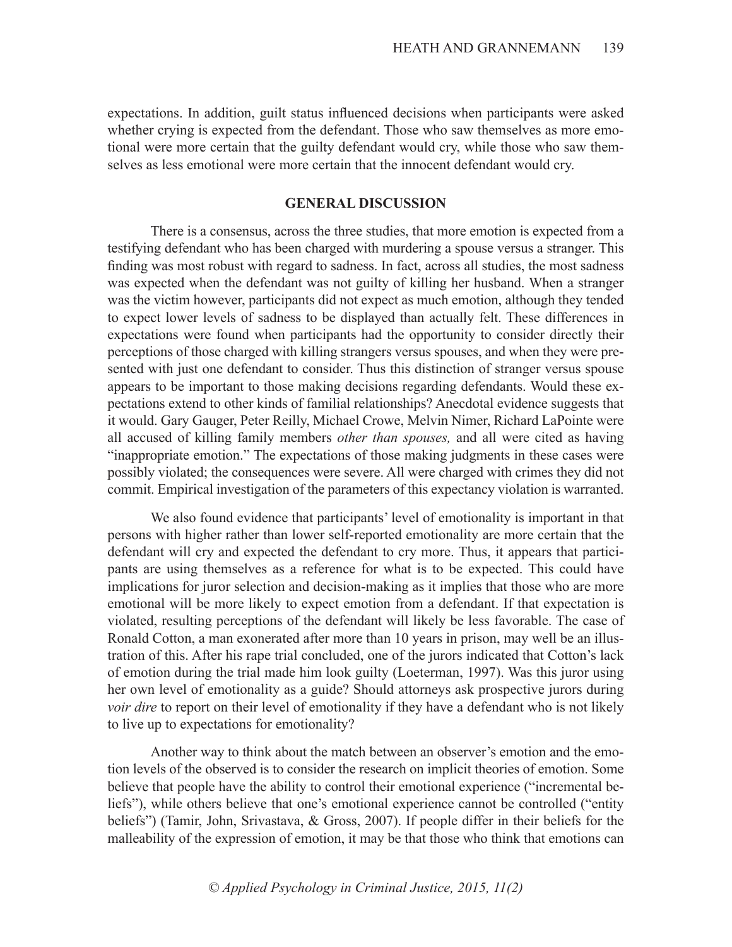expectations. In addition, guilt status influenced decisions when participants were asked whether crying is expected from the defendant. Those who saw themselves as more emotional were more certain that the guilty defendant would cry, while those who saw themselves as less emotional were more certain that the innocent defendant would cry.

### **GENERAL DISCUSSION**

There is a consensus, across the three studies, that more emotion is expected from a testifying defendant who has been charged with murdering a spouse versus a stranger. This finding was most robust with regard to sadness. In fact, across all studies, the most sadness was expected when the defendant was not guilty of killing her husband. When a stranger was the victim however, participants did not expect as much emotion, although they tended to expect lower levels of sadness to be displayed than actually felt. These differences in expectations were found when participants had the opportunity to consider directly their perceptions of those charged with killing strangers versus spouses, and when they were presented with just one defendant to consider. Thus this distinction of stranger versus spouse appears to be important to those making decisions regarding defendants. Would these expectations extend to other kinds of familial relationships? Anecdotal evidence suggests that it would. Gary Gauger, Peter Reilly, Michael Crowe, Melvin Nimer, Richard LaPointe were all accused of killing family members *other than spouses,* and all were cited as having "inappropriate emotion." The expectations of those making judgments in these cases were possibly violated; the consequences were severe. All were charged with crimes they did not commit. Empirical investigation of the parameters of this expectancy violation is warranted.

We also found evidence that participants' level of emotionality is important in that persons with higher rather than lower self-reported emotionality are more certain that the defendant will cry and expected the defendant to cry more. Thus, it appears that participants are using themselves as a reference for what is to be expected. This could have implications for juror selection and decision-making as it implies that those who are more emotional will be more likely to expect emotion from a defendant. If that expectation is violated, resulting perceptions of the defendant will likely be less favorable. The case of Ronald Cotton, a man exonerated after more than 10 years in prison, may well be an illustration of this. After his rape trial concluded, one of the jurors indicated that Cotton's lack of emotion during the trial made him look guilty (Loeterman, 1997). Was this juror using her own level of emotionality as a guide? Should attorneys ask prospective jurors during *voir dire* to report on their level of emotionality if they have a defendant who is not likely to live up to expectations for emotionality?

Another way to think about the match between an observer's emotion and the emotion levels of the observed is to consider the research on implicit theories of emotion. Some believe that people have the ability to control their emotional experience ("incremental beliefs"), while others believe that one's emotional experience cannot be controlled ("entity beliefs") (Tamir, John, Srivastava, & Gross, 2007). If people differ in their beliefs for the malleability of the expression of emotion, it may be that those who think that emotions can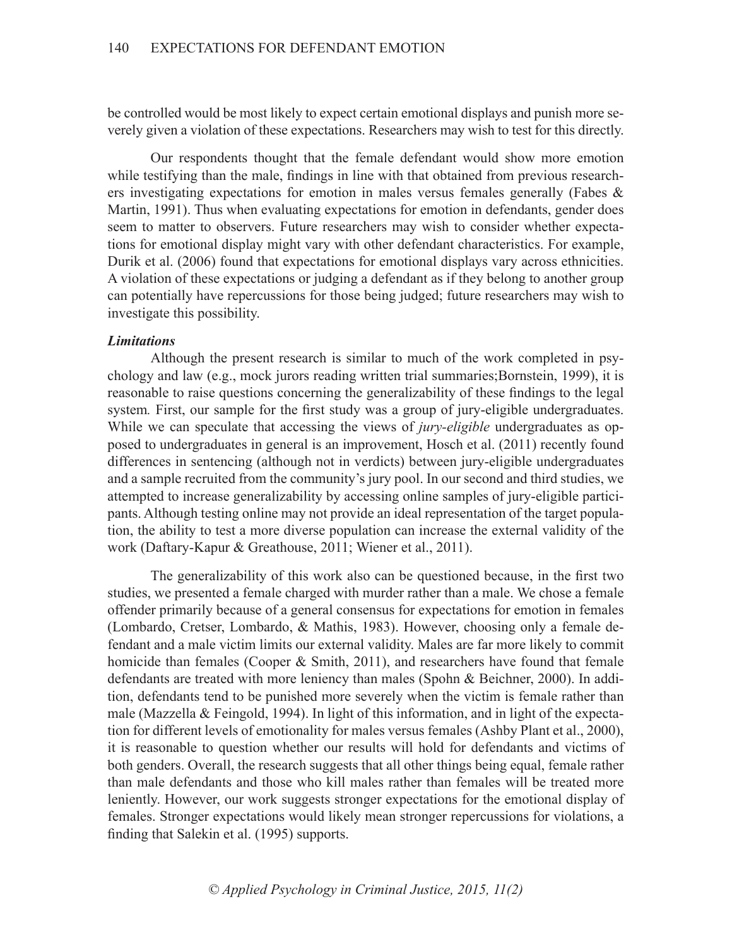be controlled would be most likely to expect certain emotional displays and punish more severely given a violation of these expectations. Researchers may wish to test for this directly.

Our respondents thought that the female defendant would show more emotion while testifying than the male, findings in line with that obtained from previous researchers investigating expectations for emotion in males versus females generally (Fabes & Martin, 1991). Thus when evaluating expectations for emotion in defendants, gender does seem to matter to observers. Future researchers may wish to consider whether expectations for emotional display might vary with other defendant characteristics. For example, Durik et al. (2006) found that expectations for emotional displays vary across ethnicities. A violation of these expectations or judging a defendant as if they belong to another group can potentially have repercussions for those being judged; future researchers may wish to investigate this possibility.

### *Limitations*

Although the present research is similar to much of the work completed in psychology and law (e.g., mock jurors reading written trial summaries;Bornstein, 1999), it is reasonable to raise questions concerning the generalizability of these findings to the legal system*.* First, our sample for the first study was a group of jury-eligible undergraduates. While we can speculate that accessing the views of *jury-eligible* undergraduates as opposed to undergraduates in general is an improvement, Hosch et al. (2011) recently found differences in sentencing (although not in verdicts) between jury-eligible undergraduates and a sample recruited from the community's jury pool. In our second and third studies, we attempted to increase generalizability by accessing online samples of jury-eligible participants. Although testing online may not provide an ideal representation of the target population, the ability to test a more diverse population can increase the external validity of the work (Daftary-Kapur & Greathouse, 2011; Wiener et al., 2011).

The generalizability of this work also can be questioned because, in the first two studies, we presented a female charged with murder rather than a male. We chose a female offender primarily because of a general consensus for expectations for emotion in females (Lombardo, Cretser, Lombardo, & Mathis, 1983). However, choosing only a female defendant and a male victim limits our external validity. Males are far more likely to commit homicide than females (Cooper & Smith, 2011), and researchers have found that female defendants are treated with more leniency than males (Spohn & Beichner, 2000). In addition, defendants tend to be punished more severely when the victim is female rather than male (Mazzella & Feingold, 1994). In light of this information, and in light of the expectation for different levels of emotionality for males versus females (Ashby Plant et al., 2000), it is reasonable to question whether our results will hold for defendants and victims of both genders. Overall, the research suggests that all other things being equal, female rather than male defendants and those who kill males rather than females will be treated more leniently. However, our work suggests stronger expectations for the emotional display of females. Stronger expectations would likely mean stronger repercussions for violations, a finding that Salekin et al. (1995) supports.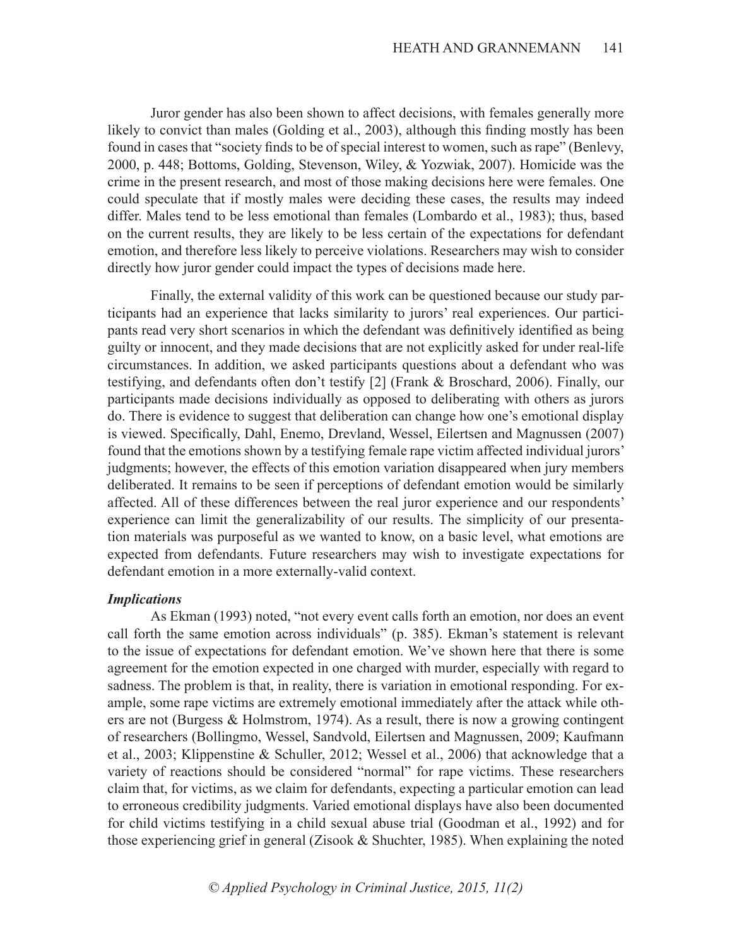Juror gender has also been shown to affect decisions, with females generally more likely to convict than males (Golding et al., 2003), although this finding mostly has been found in cases that "society finds to be of special interest to women, such as rape" (Benlevy, 2000, p. 448; Bottoms, Golding, Stevenson, Wiley, & Yozwiak, 2007). Homicide was the crime in the present research, and most of those making decisions here were females. One could speculate that if mostly males were deciding these cases, the results may indeed differ. Males tend to be less emotional than females (Lombardo et al., 1983); thus, based on the current results, they are likely to be less certain of the expectations for defendant emotion, and therefore less likely to perceive violations. Researchers may wish to consider directly how juror gender could impact the types of decisions made here.

Finally, the external validity of this work can be questioned because our study participants had an experience that lacks similarity to jurors' real experiences. Our participants read very short scenarios in which the defendant was definitively identified as being guilty or innocent, and they made decisions that are not explicitly asked for under real-life circumstances. In addition, we asked participants questions about a defendant who was testifying, and defendants often don't testify [2] (Frank & Broschard, 2006). Finally, our participants made decisions individually as opposed to deliberating with others as jurors do. There is evidence to suggest that deliberation can change how one's emotional display is viewed. Specifically, Dahl, Enemo, Drevland, Wessel, Eilertsen and Magnussen (2007) found that the emotions shown by a testifying female rape victim affected individual jurors' judgments; however, the effects of this emotion variation disappeared when jury members deliberated. It remains to be seen if perceptions of defendant emotion would be similarly affected. All of these differences between the real juror experience and our respondents' experience can limit the generalizability of our results. The simplicity of our presentation materials was purposeful as we wanted to know, on a basic level, what emotions are expected from defendants. Future researchers may wish to investigate expectations for defendant emotion in a more externally-valid context.

### *Implications*

As Ekman (1993) noted, "not every event calls forth an emotion, nor does an event call forth the same emotion across individuals" (p. 385). Ekman's statement is relevant to the issue of expectations for defendant emotion. We've shown here that there is some agreement for the emotion expected in one charged with murder, especially with regard to sadness. The problem is that, in reality, there is variation in emotional responding. For example, some rape victims are extremely emotional immediately after the attack while others are not (Burgess & Holmstrom, 1974). As a result, there is now a growing contingent of researchers (Bollingmo, Wessel, Sandvold, Eilertsen and Magnussen, 2009; Kaufmann et al., 2003; Klippenstine & Schuller, 2012; Wessel et al., 2006) that acknowledge that a variety of reactions should be considered "normal" for rape victims. These researchers claim that, for victims, as we claim for defendants, expecting a particular emotion can lead to erroneous credibility judgments. Varied emotional displays have also been documented for child victims testifying in a child sexual abuse trial (Goodman et al., 1992) and for those experiencing grief in general (Zisook & Shuchter, 1985). When explaining the noted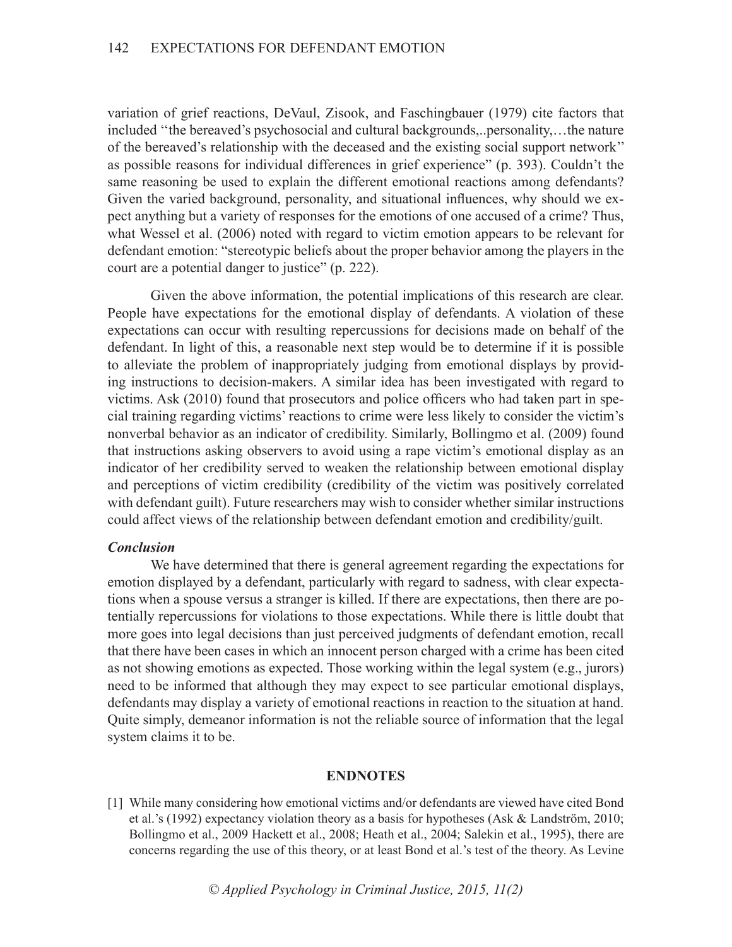variation of grief reactions, DeVaul, Zisook, and Faschingbauer (1979) cite factors that included ''the bereaved's psychosocial and cultural backgrounds,..personality,…the nature of the bereaved's relationship with the deceased and the existing social support network'' as possible reasons for individual differences in grief experience" (p. 393). Couldn't the same reasoning be used to explain the different emotional reactions among defendants? Given the varied background, personality, and situational influences, why should we expect anything but a variety of responses for the emotions of one accused of a crime? Thus, what Wessel et al. (2006) noted with regard to victim emotion appears to be relevant for defendant emotion: "stereotypic beliefs about the proper behavior among the players in the court are a potential danger to justice" (p. 222).

Given the above information, the potential implications of this research are clear. People have expectations for the emotional display of defendants. A violation of these expectations can occur with resulting repercussions for decisions made on behalf of the defendant. In light of this, a reasonable next step would be to determine if it is possible to alleviate the problem of inappropriately judging from emotional displays by providing instructions to decision-makers. A similar idea has been investigated with regard to victims. Ask (2010) found that prosecutors and police officers who had taken part in special training regarding victims' reactions to crime were less likely to consider the victim's nonverbal behavior as an indicator of credibility. Similarly, Bollingmo et al. (2009) found that instructions asking observers to avoid using a rape victim's emotional display as an indicator of her credibility served to weaken the relationship between emotional display and perceptions of victim credibility (credibility of the victim was positively correlated with defendant guilt). Future researchers may wish to consider whether similar instructions could affect views of the relationship between defendant emotion and credibility/guilt.

### *Conclusion*

We have determined that there is general agreement regarding the expectations for emotion displayed by a defendant, particularly with regard to sadness, with clear expectations when a spouse versus a stranger is killed. If there are expectations, then there are potentially repercussions for violations to those expectations. While there is little doubt that more goes into legal decisions than just perceived judgments of defendant emotion, recall that there have been cases in which an innocent person charged with a crime has been cited as not showing emotions as expected. Those working within the legal system (e.g., jurors) need to be informed that although they may expect to see particular emotional displays, defendants may display a variety of emotional reactions in reaction to the situation at hand. Quite simply, demeanor information is not the reliable source of information that the legal system claims it to be.

### **ENDNOTES**

[1] While many considering how emotional victims and/or defendants are viewed have cited Bond et al.'s (1992) expectancy violation theory as a basis for hypotheses (Ask & Landström, 2010; Bollingmo et al., 2009 Hackett et al., 2008; Heath et al., 2004; Salekin et al., 1995), there are concerns regarding the use of this theory, or at least Bond et al.'s test of the theory. As Levine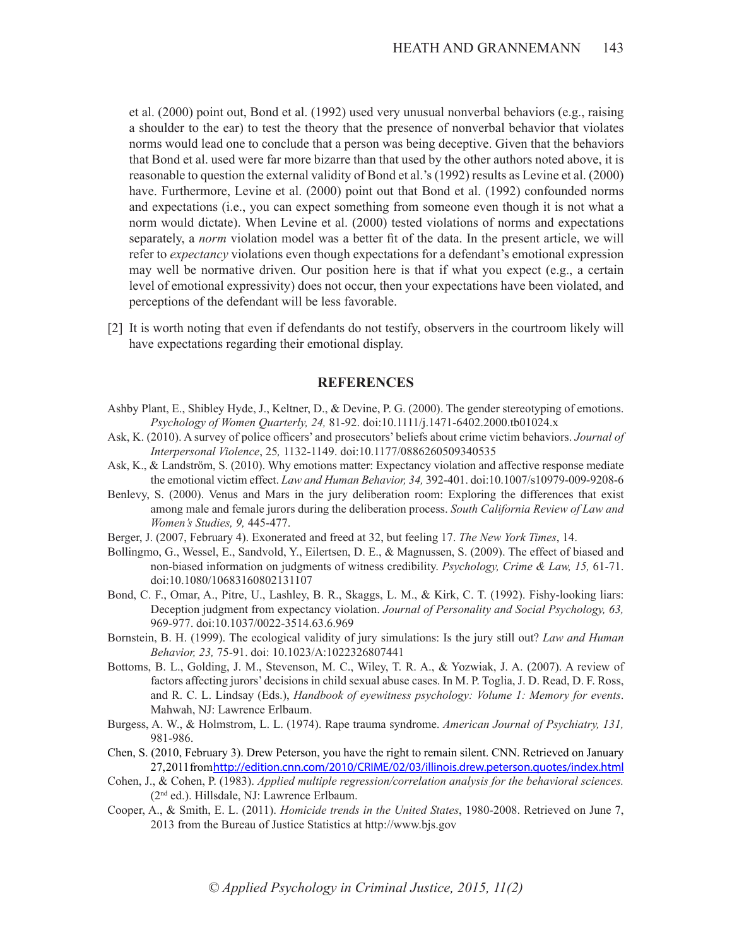et al. (2000) point out, Bond et al. (1992) used very unusual nonverbal behaviors (e.g., raising a shoulder to the ear) to test the theory that the presence of nonverbal behavior that violates norms would lead one to conclude that a person was being deceptive. Given that the behaviors that Bond et al. used were far more bizarre than that used by the other authors noted above, it is reasonable to question the external validity of Bond et al.'s (1992) results as Levine et al. (2000) have. Furthermore, Levine et al. (2000) point out that Bond et al. (1992) confounded norms and expectations (i.e., you can expect something from someone even though it is not what a norm would dictate). When Levine et al. (2000) tested violations of norms and expectations separately, a *norm* violation model was a better fit of the data. In the present article, we will refer to *expectancy* violations even though expectations for a defendant's emotional expression may well be normative driven. Our position here is that if what you expect  $(e.g., a certain)$ level of emotional expressivity) does not occur, then your expectations have been violated, and perceptions of the defendant will be less favorable.

[2] It is worth noting that even if defendants do not testify, observers in the courtroom likely will have expectations regarding their emotional display.

### **REFERENCES**

- Ashby Plant, E., Shibley Hyde, J., Keltner, D., & Devine, P. G. (2000). The gender stereotyping of emotions. *Psychology of Women Quarterly, 24,* 81-92. doi:10.1111/j.1471-6402.2000.tb01024.x
- Ask, K. (2010). A survey of police officers' and prosecutors' beliefs about crime victim behaviors. *Journal of Interpersonal Violence*, 25*,* 1132-1149. doi:10.1177/0886260509340535
- Ask, K., & Landström, S. (2010). Why emotions matter: Expectancy violation and affective response mediate the emotional victim effect. *Law and Human Behavior, 34,* 392-401. doi:10.1007/s10979-009-9208-6
- Benlevy, S. (2000). Venus and Mars in the jury deliberation room: Exploring the differences that exist among male and female jurors during the deliberation process. *South California Review of Law and Women's Studies, 9,* 445-477.
- Berger, J. (2007, February 4). Exonerated and freed at 32, but feeling 17. *The New York Times*, 14.
- Bollingmo, G., Wessel, E., Sandvold, Y., Eilertsen, D. E., & Magnussen, S. (2009). The effect of biased and non-biased information on judgments of witness credibility. *Psychology, Crime & Law, 15,* 61-71. doi:10.1080/10683160802131107
- Bond, C. F., Omar, A., Pitre, U., Lashley, B. R., Skaggs, L. M., & Kirk, C. T. (1992). Fishy-looking liars: Deception judgment from expectancy violation. *Journal of Personality and Social Psychology, 63,* 969-977. doi:10.1037/0022-3514.63.6.969
- Bornstein, B. H. (1999). The ecological validity of jury simulations: Is the jury still out? *Law and Human Behavior, 23,* 75-91. doi: 10.1023/A:1022326807441
- Bottoms, B. L., Golding, J. M., Stevenson, M. C., Wiley, T. R. A., & Yozwiak, J. A. (2007). A review of factors affecting jurors' decisions in child sexual abuse cases. In M. P. Toglia, J. D. Read, D. F. Ross, and R. C. L. Lindsay (Eds.), *Handbook of eyewitness psychology: Volume 1: Memory for events*. Mahwah, NJ: Lawrence Erlbaum.
- Burgess, A. W., & Holmstrom, L. L. (1974). Rape trauma syndrome. *American Journal of Psychiatry, 131,*  981-986.
- Chen, S. (2010, February 3). Drew Peterson, you have the right to remain silent. CNN. Retrieved on January 27, 2011 from http://edition.cnn.com/2010/CRIME/02/03/illinois.drew.peterson.quotes/index.html
- Cohen, J., & Cohen, P. (1983). *Applied multiple regression/correlation analysis for the behavioral sciences.* (2nd ed.). Hillsdale, NJ: Lawrence Erlbaum.
- Cooper, A., & Smith, E. L. (2011). *Homicide trends in the United States*, 1980-2008. Retrieved on June 7, 2013 from the Bureau of Justice Statistics at http://www.bjs.gov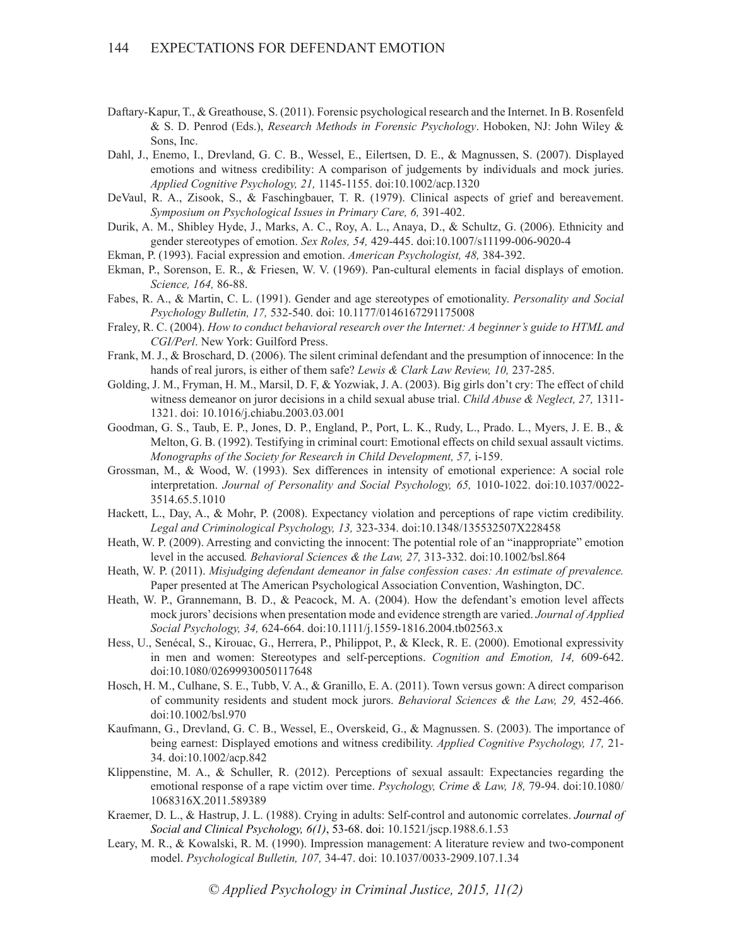- Daftary-Kapur, T., & Greathouse, S. (2011). Forensic psychological research and the Internet. In B. Rosenfeld & S. D. Penrod (Eds.), *Research Methods in Forensic Psychology*. Hoboken, NJ: John Wiley & Sons, Inc.
- Dahl, J., Enemo, I., Drevland, G. C. B., Wessel, E., Eilertsen, D. E., & Magnussen, S. (2007). Displayed emotions and witness credibility: A comparison of judgements by individuals and mock juries. *Applied Cognitive Psychology, 21,* 1145-1155. doi:10.1002/acp.1320
- DeVaul, R. A., Zisook, S., & Faschingbauer, T. R. (1979). Clinical aspects of grief and bereavement. *Symposium on Psychological Issues in Primary Care, 6,* 391-402.
- Durik, A. M., Shibley Hyde, J., Marks, A. C., Roy, A. L., Anaya, D., & Schultz, G. (2006). Ethnicity and gender stereotypes of emotion. *Sex Roles, 54,* 429-445. doi:10.1007/s11199-006-9020-4
- Ekman, P. (1993). Facial expression and emotion. *American Psychologist, 48,* 384-392.
- Ekman, P., Sorenson, E. R., & Friesen, W. V. (1969). Pan-cultural elements in facial displays of emotion. *Science, 164,* 86-88.
- Fabes, R. A., & Martin, C. L. (1991). Gender and age stereotypes of emotionality. *Personality and Social Psychology Bulletin, 17,* 532-540. doi: 10.1177/0146167291175008
- Fraley, R. C. (2004). *How to conduct behavioral research over the Internet: A beginner's guide to HTML and CGI/Perl*. New York: Guilford Press.
- Frank, M. J., & Broschard, D. (2006). The silent criminal defendant and the presumption of innocence: In the hands of real jurors, is either of them safe? *Lewis & Clark Law Review, 10,* 237-285.
- Golding, J. M., Fryman, H. M., Marsil, D. F, & Yozwiak, J. A. (2003). Big girls don't cry: The effect of child witness demeanor on juror decisions in a child sexual abuse trial. *Child Abuse & Neglect, 27,* 1311- 1321. doi: 10.1016/j.chiabu.2003.03.001
- Goodman, G. S., Taub, E. P., Jones, D. P., England, P., Port, L. K., Rudy, L., Prado. L., Myers, J. E. B., & Melton, G. B. (1992). Testifying in criminal court: Emotional effects on child sexual assault victims. *Monographs of the Society for Research in Child Development, 57,* i-159.
- Grossman, M., & Wood, W. (1993). Sex differences in intensity of emotional experience: A social role interpretation. *Journal of Personality and Social Psychology, 65,* 1010-1022. doi:10.1037/0022- 3514.65.5.1010
- Hackett, L., Day, A., & Mohr, P. (2008). Expectancy violation and perceptions of rape victim credibility. *Legal and Criminological Psychology, 13,* 323-334. doi:10.1348/135532507X228458
- Heath, W. P. (2009). Arresting and convicting the innocent: The potential role of an "inappropriate" emotion level in the accused*. Behavioral Sciences & the Law, 27,* 313-332. doi:10.1002/bsl.864
- Heath, W. P. (2011). *Misjudging defendant demeanor in false confession cases: An estimate of prevalence.* Paper presented at The American Psychological Association Convention, Washington, DC.
- Heath, W. P., Grannemann, B. D., & Peacock, M. A. (2004). How the defendant's emotion level affects mock jurors' decisions when presentation mode and evidence strength are varied. *Journal of Applied Social Psychology, 34,* 624-664. doi:10.1111/j.1559-1816.2004.tb02563.x
- Hess, U., Senécal, S., Kirouac, G., Herrera, P., Philippot, P., & Kleck, R. E. (2000). Emotional expressivity in men and women: Stereotypes and self-perceptions. *Cognition and Emotion, 14,* 609-642. doi:10.1080/02699930050117648
- Hosch, H. M., Culhane, S. E., Tubb, V. A., & Granillo, E. A. (2011). Town versus gown: A direct comparison of community residents and student mock jurors. *Behavioral Sciences & the Law, 29,* 452-466. doi:10.1002/bsl.970
- Kaufmann, G., Drevland, G. C. B., Wessel, E., Overskeid, G., & Magnussen. S. (2003). The importance of being earnest: Displayed emotions and witness credibility. *Applied Cognitive Psychology, 17,* 21- 34. doi:10.1002/acp.842
- Klippenstine, M. A., & Schuller, R. (2012). Perceptions of sexual assault: Expectancies regarding the emotional response of a rape victim over time. *Psychology, Crime & Law, 18,* 79-94. doi:10.1080/ 1068316X.2011.589389
- Kraemer, D. L., & Hastrup, J. L. (1988). Crying in adults: Self-control and autonomic correlates. *Journal of Social and Clinical Psychology, 6(1)*, 53-68. doi: 10.1521/jscp.1988.6.1.53
- Leary, M. R., & Kowalski, R. M. (1990). Impression management: A literature review and two-component model. *Psychological Bulletin, 107,* 34-47. doi: 10.1037/0033-2909.107.1.34